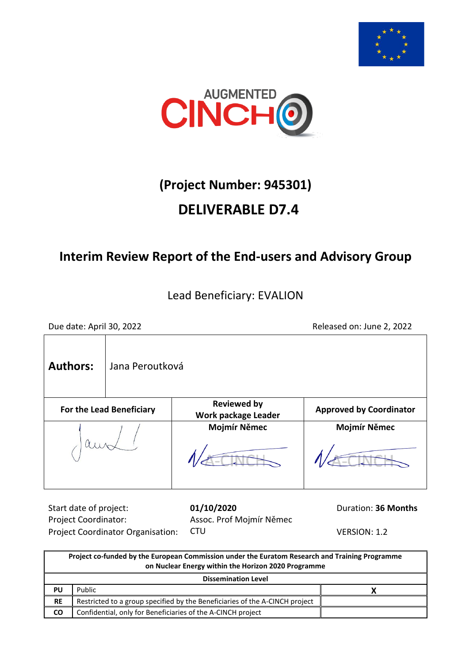



# **(Project Number: 945301)**

# **DELIVERABLE D7.4**

# **Interim Review Report of the End-users and Advisory Group**

Lead Beneficiary: EVALION

 $\mathbf T$ 

 $\Gamma$ 

Due date: April 30, 2022 Released on: June 2, 2022

┓

| <b>Authors:</b>                 | Jana Peroutková |                                           |                                |  |
|---------------------------------|-----------------|-------------------------------------------|--------------------------------|--|
| <b>For the Lead Beneficiary</b> |                 | <b>Reviewed by</b><br>Work package Leader | <b>Approved by Coordinator</b> |  |
|                                 |                 | Mojmír Němec                              | Mojmír Němec                   |  |

Start date of project: **01/10/2020** Duration: **36 Months** Project Coordinator: Assoc. Prof Mojmír Němec Project Coordinator Organisation: CTU VERSION: 1.2

| Project co-funded by the European Commission under the Euratom Research and Training Programme<br>on Nuclear Energy within the Horizon 2020 Programme |                                                                             |  |  |  |
|-------------------------------------------------------------------------------------------------------------------------------------------------------|-----------------------------------------------------------------------------|--|--|--|
| <b>Dissemination Level</b>                                                                                                                            |                                                                             |  |  |  |
| PU                                                                                                                                                    | Public                                                                      |  |  |  |
| R <sub>E</sub>                                                                                                                                        | Restricted to a group specified by the Beneficiaries of the A-CINCH project |  |  |  |
| <b>CO</b>                                                                                                                                             | Confidential, only for Beneficiaries of the A-CINCH project                 |  |  |  |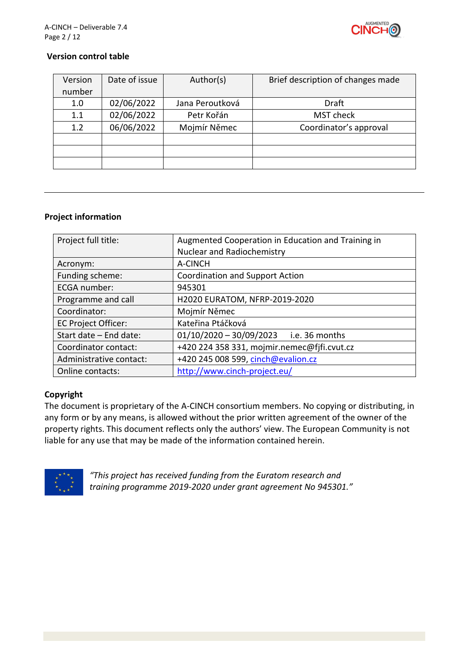

#### **Version control table**

| Version<br>number | Date of issue | Author(s)       | Brief description of changes made |  |
|-------------------|---------------|-----------------|-----------------------------------|--|
| 1.0               | 02/06/2022    | Jana Peroutková | Draft                             |  |
| 1.1               | 02/06/2022    | Petr Kořán      | MST check                         |  |
| 1.2               | 06/06/2022    | Mojmír Němec    | Coordinator's approval            |  |
|                   |               |                 |                                   |  |
|                   |               |                 |                                   |  |
|                   |               |                 |                                   |  |

#### **Project information**

| Project full title:        | Augmented Cooperation in Education and Training in |  |
|----------------------------|----------------------------------------------------|--|
|                            | <b>Nuclear and Radiochemistry</b>                  |  |
| Acronym:                   | A-CINCH                                            |  |
| Funding scheme:            | <b>Coordination and Support Action</b>             |  |
| ECGA number:               | 945301                                             |  |
| Programme and call         | H2020 EURATOM, NFRP-2019-2020                      |  |
| Coordinator:               | Mojmír Němec                                       |  |
| <b>EC Project Officer:</b> | Kateřina Ptáčková                                  |  |
| Start date - End date:     | $01/10/2020 - 30/09/2023$ i.e. 36 months           |  |
| Coordinator contact:       | +420 224 358 331, mojmir.nemec@fjfi.cvut.cz        |  |
| Administrative contact:    | +420 245 008 599, cinch@evalion.cz                 |  |
| Online contacts:           | http://www.cinch-project.eu/                       |  |

#### **Copyright**

The document is proprietary of the A-CINCH consortium members. No copying or distributing, in any form or by any means, is allowed without the prior written agreement of the owner of the property rights. This document reflects only the authors' view. The European Community is not liable for any use that may be made of the information contained herein.



*"This project has received funding from the Euratom research and training programme 2019-2020 under grant agreement No 945301."*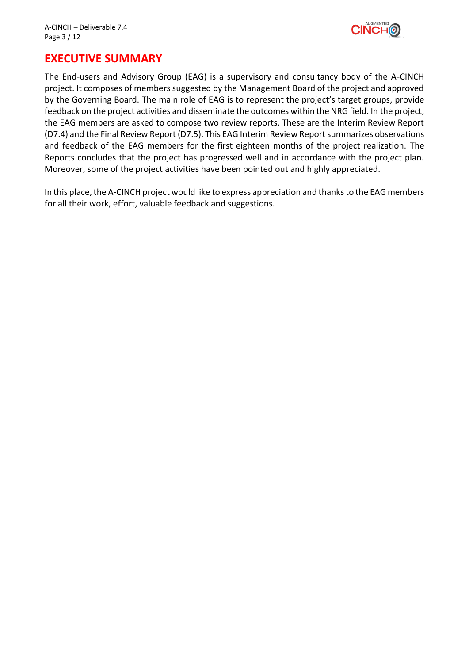

### **EXECUTIVE SUMMARY**

The End-users and Advisory Group (EAG) is a supervisory and consultancy body of the A-CINCH project. It composes of members suggested by the Management Board of the project and approved by the Governing Board. The main role of EAG is to represent the project's target groups, provide feedback on the project activities and disseminate the outcomes within the NRG field. In the project, the EAG members are asked to compose two review reports. These are the Interim Review Report (D7.4) and the Final Review Report (D7.5). This EAG Interim Review Report summarizes observations and feedback of the EAG members for the first eighteen months of the project realization. The Reports concludes that the project has progressed well and in accordance with the project plan. Moreover, some of the project activities have been pointed out and highly appreciated.

In this place, the A-CINCH project would like to express appreciation and thanks to the EAG members for all their work, effort, valuable feedback and suggestions.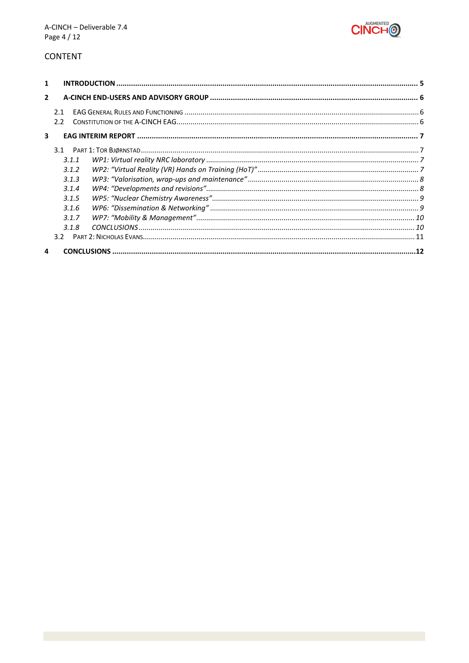

#### **CONTENT**

| $\mathbf{1}$   |               |  |  |
|----------------|---------------|--|--|
| $\overline{2}$ |               |  |  |
|                | 2.1           |  |  |
|                | $2.2^{\circ}$ |  |  |
| 3              |               |  |  |
|                |               |  |  |
|                | 3.1.1         |  |  |
|                | 3.1.2         |  |  |
|                | 3.1.3         |  |  |
|                | 3.1.4         |  |  |
|                | 3.1.5         |  |  |
|                | 3.1.6         |  |  |
|                | 3.1.7         |  |  |
|                | 3.1.8         |  |  |
|                |               |  |  |
| $\Delta$       |               |  |  |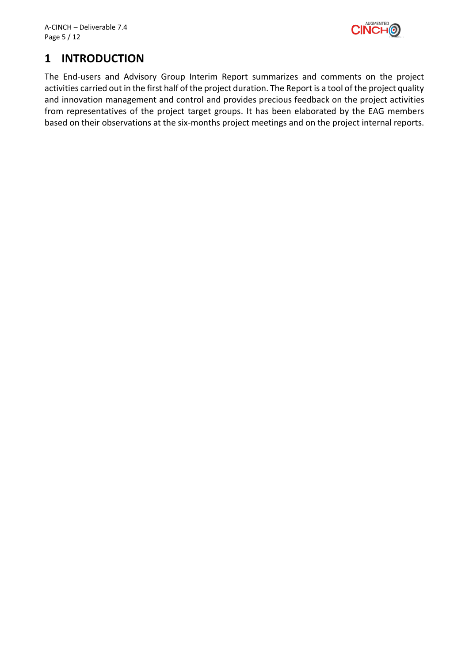

# <span id="page-4-0"></span>**1 INTRODUCTION**

The End-users and Advisory Group Interim Report summarizes and comments on the project activities carried out in the first half of the project duration. The Report is a tool of the project quality and innovation management and control and provides precious feedback on the project activities from representatives of the project target groups. It has been elaborated by the EAG members based on their observations at the six-months project meetings and on the project internal reports.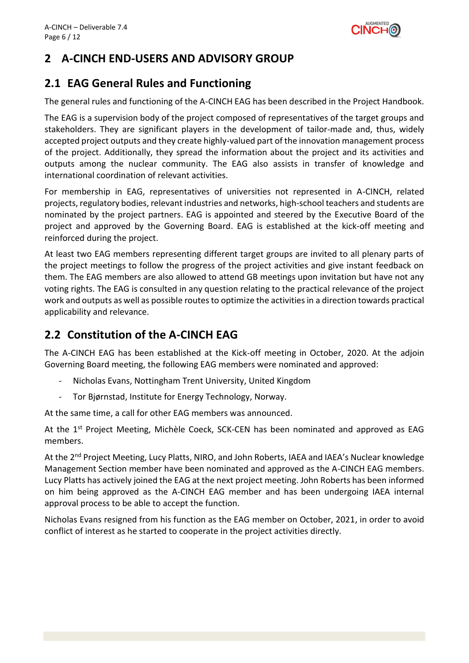

## <span id="page-5-0"></span>**2 A-CINCH END-USERS AND ADVISORY GROUP**

### <span id="page-5-1"></span>**2.1 EAG General Rules and Functioning**

The general rules and functioning of the A-CINCH EAG has been described in the Project Handbook.

The EAG is a supervision body of the project composed of representatives of the target groups and stakeholders. They are significant players in the development of tailor-made and, thus, widely accepted project outputs and they create highly-valued part of the innovation management process of the project. Additionally, they spread the information about the project and its activities and outputs among the nuclear community. The EAG also assists in transfer of knowledge and international coordination of relevant activities.

For membership in EAG, representatives of universities not represented in A-CINCH, related projects, regulatory bodies, relevant industries and networks, high-school teachers and students are nominated by the project partners. EAG is appointed and steered by the Executive Board of the project and approved by the Governing Board. EAG is established at the kick-off meeting and reinforced during the project.

At least two EAG members representing different target groups are invited to all plenary parts of the project meetings to follow the progress of the project activities and give instant feedback on them. The EAG members are also allowed to attend GB meetings upon invitation but have not any voting rights. The EAG is consulted in any question relating to the practical relevance of the project work and outputs as well as possible routes to optimize the activities in a direction towards practical applicability and relevance.

# <span id="page-5-2"></span>**2.2 Constitution of the A-CINCH EAG**

The A-CINCH EAG has been established at the Kick-off meeting in October, 2020. At the adjoin Governing Board meeting, the following EAG members were nominated and approved:

- Nicholas Evans, Nottingham Trent University, United Kingdom
- Tor Bjørnstad, Institute for Energy Technology, Norway.

At the same time, a call for other EAG members was announced.

At the 1<sup>st</sup> Project Meeting, Michèle Coeck, SCK-CEN has been nominated and approved as EAG members.

At the 2<sup>nd</sup> Project Meeting, Lucy Platts, NIRO, and John Roberts, IAEA and IAEA's Nuclear knowledge Management Section member have been nominated and approved as the A-CINCH EAG members. Lucy Platts has actively joined the EAG at the next project meeting. John Roberts has been informed on him being approved as the A-CINCH EAG member and has been undergoing IAEA internal approval process to be able to accept the function.

Nicholas Evans resigned from his function as the EAG member on October, 2021, in order to avoid conflict of interest as he started to cooperate in the project activities directly.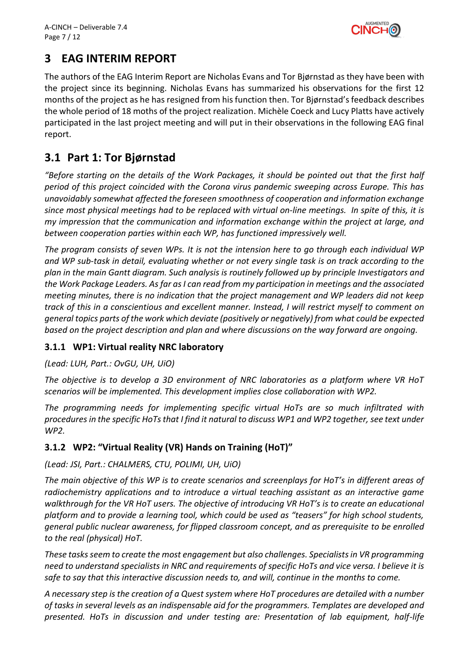

# <span id="page-6-0"></span>**3 EAG INTERIM REPORT**

The authors of the EAG Interim Report are Nicholas Evans and Tor Bjørnstad as they have been with the project since its beginning. Nicholas Evans has summarized his observations for the first 12 months of the project as he has resigned from his function then. Tor Bjørnstad's feedback describes the whole period of 18 moths of the project realization. Michèle Coeck and Lucy Platts have actively participated in the last project meeting and will put in their observations in the following EAG final report.

# <span id="page-6-1"></span>**3.1 Part 1: Tor Bjørnstad**

*"Before starting on the details of the Work Packages, it should be pointed out that the first half period of this project coincided with the Corona virus pandemic sweeping across Europe. This has unavoidably somewhat affected the foreseen smoothness of cooperation and information exchange since most physical meetings had to be replaced with virtual on-line meetings. In spite of this, it is my impression that the communication and information exchange within the project at large, and between cooperation parties within each WP, has functioned impressively well.*

*The program consists of seven WPs. It is not the intension here to go through each individual WP and WP sub-task in detail, evaluating whether or not every single task is on track according to the plan in the main Gantt diagram. Such analysis is routinely followed up by principle Investigators and the Work Package Leaders. As far as I can read from my participation in meetings and the associated meeting minutes, there is no indication that the project management and WP leaders did not keep track of this in a conscientious and excellent manner. Instead, I will restrict myself to comment on general topics parts of the work which deviate (positively or negatively) from what could be expected based on the project description and plan and where discussions on the way forward are ongoing.*

### <span id="page-6-2"></span>**3.1.1 WP1: Virtual reality NRC laboratory**

*(Lead: LUH, Part.: OvGU, UH, UiO)*

*The objective is to develop a 3D environment of NRC laboratories as a platform where VR HoT scenarios will be implemented. This development implies close collaboration with WP2.*

*The programming needs for implementing specific virtual HoTs are so much infiltrated with procedures in the specific HoTs that I find it natural to discuss WP1 and WP2 together, see text under WP2.*

#### <span id="page-6-3"></span>**3.1.2 WP2: "Virtual Reality (VR) Hands on Training (HoT)"**

*(Lead: JSI, Part.: CHALMERS, CTU, POLIMI, UH, UiO)*

*The main objective of this WP is to create scenarios and screenplays for HoT's in different areas of radiochemistry applications and to introduce a virtual teaching assistant as an interactive game walkthrough for the VR HoT users. The objective of introducing VR HoT's is to create an educational platform and to provide a learning tool, which could be used as "teasers" for high school students, general public nuclear awareness, for flipped classroom concept, and as prerequisite to be enrolled to the real (physical) HoT.* 

*These tasks seem to create the most engagement but also challenges. Specialists in VR programming need to understand specialists in NRC and requirements of specific HoTs and vice versa. I believe it is safe to say that this interactive discussion needs to, and will, continue in the months to come.*

*A necessary step is the creation of a Quest system where HoT procedures are detailed with a number of tasks in several levels as an indispensable aid for the programmers. Templates are developed and presented. HoTs in discussion and under testing are: Presentation of lab equipment, half-life*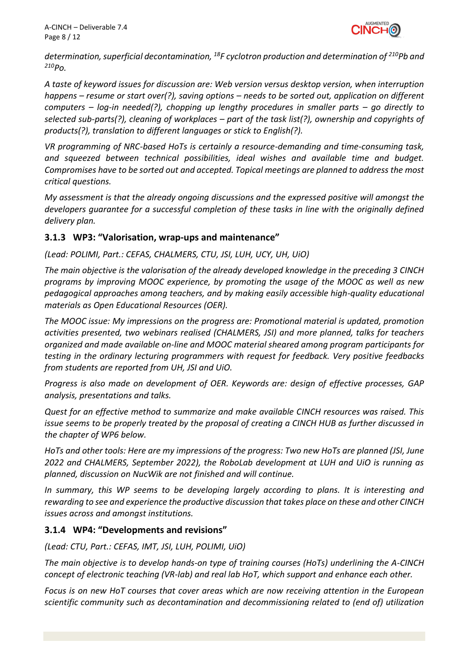

*determination, superficial decontamination, <sup>18</sup>F cyclotron production and determination of <sup>210</sup>Pb and <sup>210</sup>Po.* 

*A taste of keyword issues for discussion are: Web version versus desktop version, when interruption happens – resume or start over(?), saving options – needs to be sorted out, application on different computers – log-in needed(?), chopping up lengthy procedures in smaller parts – go directly to selected sub-parts(?), cleaning of workplaces – part of the task list(?), ownership and copyrights of products(?), translation to different languages or stick to English(?).*

*VR programming of NRC-based HoTs is certainly a resource-demanding and time-consuming task, and squeezed between technical possibilities, ideal wishes and available time and budget. Compromises have to be sorted out and accepted. Topical meetings are planned to address the most critical questions.* 

*My assessment is that the already ongoing discussions and the expressed positive will amongst the developers guarantee for a successful completion of these tasks in line with the originally defined delivery plan.* 

#### <span id="page-7-0"></span>**3.1.3 WP3: "Valorisation, wrap-ups and maintenance"**

*(Lead: POLIMI, Part.: CEFAS, CHALMERS, CTU, JSI, LUH, UCY, UH, UiO)* 

*The main objective is the valorisation of the already developed knowledge in the preceding 3 CINCH programs by improving MOOC experience, by promoting the usage of the MOOC as well as new pedagogical approaches among teachers, and by making easily accessible high-quality educational materials as Open Educational Resources (OER).*

*The MOOC issue: My impressions on the progress are: Promotional material is updated, promotion activities presented, two webinars realised (CHALMERS, JSI) and more planned, talks for teachers organized and made available on-line and MOOC material sheared among program participants for testing in the ordinary lecturing programmers with request for feedback. Very positive feedbacks from students are reported from UH, JSI and UiO.*

*Progress is also made on development of OER. Keywords are: design of effective processes, GAP analysis, presentations and talks.*

*Quest for an effective method to summarize and make available CINCH resources was raised. This issue seems to be properly treated by the proposal of creating a CINCH HUB as further discussed in the chapter of WP6 below.*

*HoTs and other tools: Here are my impressions of the progress: Two new HoTs are planned (JSI, June 2022 and CHALMERS, September 2022), the RoboLab development at LUH and UiO is running as planned, discussion on NucWik are not finished and will continue.*

In summary, this WP seems to be developing largely according to plans. It is interesting and *rewarding to see and experience the productive discussion that takes place on these and other CINCH issues across and amongst institutions.* 

#### <span id="page-7-1"></span>**3.1.4 WP4: "Developments and revisions"**

*(Lead: CTU, Part.: CEFAS, IMT, JSI, LUH, POLIMI, UiO)* 

*The main objective is to develop hands-on type of training courses (HoTs) underlining the A-CINCH concept of electronic teaching (VR-lab) and real lab HoT, which support and enhance each other.*

*Focus is on new HoT courses that cover areas which are now receiving attention in the European scientific community such as decontamination and decommissioning related to (end of) utilization*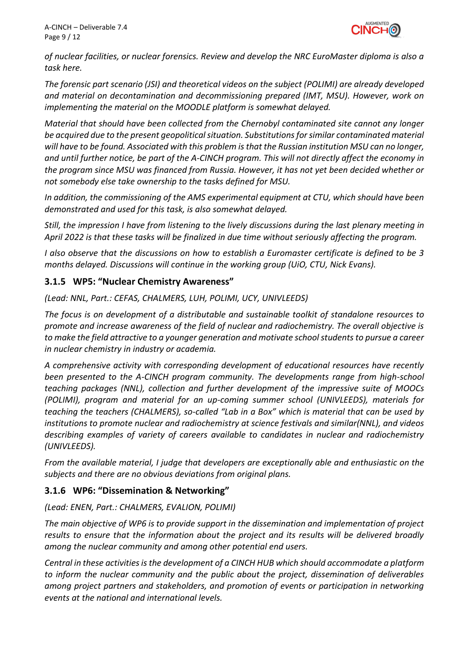

*of nuclear facilities, or nuclear forensics. Review and develop the NRC EuroMaster diploma is also a task here.*

*The forensic part scenario (JSI) and theoretical videos on the subject (POLIMI) are already developed and material on decontamination and decommissioning prepared (IMT, MSU). However, work on implementing the material on the MOODLE platform is somewhat delayed.* 

*Material that should have been collected from the Chernobyl contaminated site cannot any longer be acquired due to the present geopolitical situation. Substitutions for similar contaminated material will have to be found. Associated with this problem is that the Russian institution MSU can no longer, and until further notice, be part of the A-CINCH program. This will not directly affect the economy in the program since MSU was financed from Russia. However, it has not yet been decided whether or not somebody else take ownership to the tasks defined for MSU.*

*In addition, the commissioning of the AMS experimental equipment at CTU, which should have been demonstrated and used for this task, is also somewhat delayed.*

*Still, the impression I have from listening to the lively discussions during the last plenary meeting in April 2022 is that these tasks will be finalized in due time without seriously affecting the program.*

*I also observe that the discussions on how to establish a Euromaster certificate is defined to be 3 months delayed. Discussions will continue in the working group (UiO, CTU, Nick Evans).* 

#### <span id="page-8-0"></span>**3.1.5 WP5: "Nuclear Chemistry Awareness"**

*(Lead: NNL, Part.: CEFAS, CHALMERS, LUH, POLIMI, UCY, UNIVLEEDS)*

*The focus is on development of a distributable and sustainable toolkit of standalone resources to promote and increase awareness of the field of nuclear and radiochemistry. The overall objective is to make the field attractive to a younger generation and motivate school students to pursue a career in nuclear chemistry in industry or academia.*

*A comprehensive activity with corresponding development of educational resources have recently been presented to the A-CINCH program community. The developments range from high-school teaching packages (NNL), collection and further development of the impressive suite of MOOCs (POLIMI), program and material for an up-coming summer school (UNIVLEEDS), materials for teaching the teachers (CHALMERS), so-called "Lab in a Box" which is material that can be used by institutions to promote nuclear and radiochemistry at science festivals and similar(NNL), and videos describing examples of variety of careers available to candidates in nuclear and radiochemistry (UNIVLEEDS).* 

*From the available material, I judge that developers are exceptionally able and enthusiastic on the subjects and there are no obvious deviations from original plans.*

#### <span id="page-8-1"></span>**3.1.6 WP6: "Dissemination & Networking"**

*(Lead: ENEN, Part.: CHALMERS, EVALION, POLIMI)*

*The main objective of WP6 is to provide support in the dissemination and implementation of project results to ensure that the information about the project and its results will be delivered broadly among the nuclear community and among other potential end users.*

*Central in these activities is the development of a CINCH HUB which should accommodate a platform to inform the nuclear community and the public about the project, dissemination of deliverables among project partners and stakeholders, and promotion of events or participation in networking events at the national and international levels.*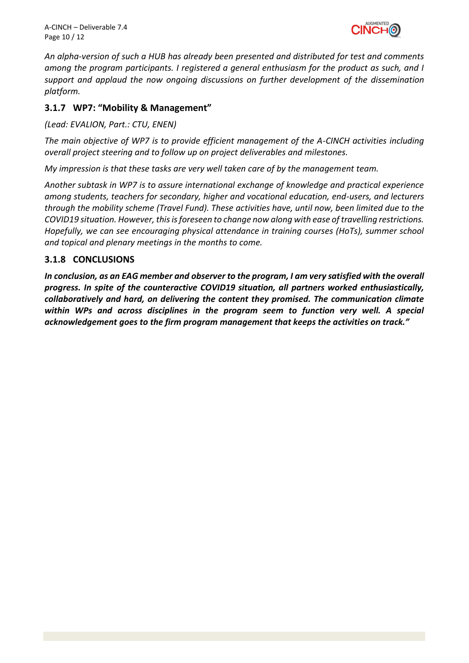A-CINCH – Deliverable 7.4 Page 10 / 12



*An alpha-version of such a HUB has already been presented and distributed for test and comments among the program participants. I registered a general enthusiasm for the product as such, and I support and applaud the now ongoing discussions on further development of the dissemination platform.*

#### <span id="page-9-0"></span>**3.1.7 WP7: "Mobility & Management"**

*(Lead: EVALION, Part.: CTU, ENEN)*

*The main objective of WP7 is to provide efficient management of the A-CINCH activities including overall project steering and to follow up on project deliverables and milestones.* 

*My impression is that these tasks are very well taken care of by the management team.*

*Another subtask in WP7 is to assure international exchange of knowledge and practical experience among students, teachers for secondary, higher and vocational education, end-users, and lecturers through the mobility scheme (Travel Fund). These activities have, until now, been limited due to the COVID19 situation. However, this is foreseen to change now along with ease of travelling restrictions. Hopefully, we can see encouraging physical attendance in training courses (HoTs), summer school and topical and plenary meetings in the months to come.*

#### <span id="page-9-1"></span>**3.1.8 CONCLUSIONS**

*In conclusion, as an EAG member and observer to the program, I am very satisfied with the overall progress. In spite of the counteractive COVID19 situation, all partners worked enthusiastically, collaboratively and hard, on delivering the content they promised. The communication climate*  within WPs and across disciplines in the program seem to function very well. A special *acknowledgement goes to the firm program management that keeps the activities on track."*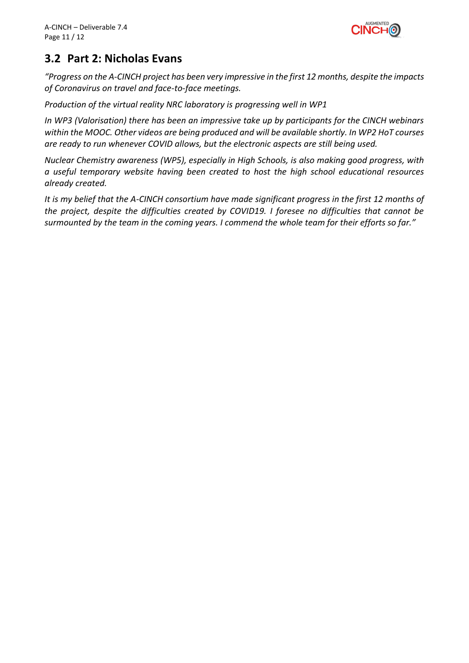

# <span id="page-10-0"></span>**3.2 Part 2: Nicholas Evans**

*"Progress on the A-CINCH project has been very impressive in the first 12 months, despite the impacts of Coronavirus on travel and face-to-face meetings.*

*Production of the virtual reality NRC laboratory is progressing well in WP1*

*In WP3 (Valorisation) there has been an impressive take up by participants for the CINCH webinars within the MOOC. Other videos are being produced and will be available shortly. In WP2 HoT courses are ready to run whenever COVID allows, but the electronic aspects are still being used.*

*Nuclear Chemistry awareness (WP5), especially in High Schools, is also making good progress, with a useful temporary website having been created to host the high school educational resources already created.*

*It is my belief that the A-CINCH consortium have made significant progress in the first 12 months of the project, despite the difficulties created by COVID19. I foresee no difficulties that cannot be surmounted by the team in the coming years. I commend the whole team for their efforts so far."*